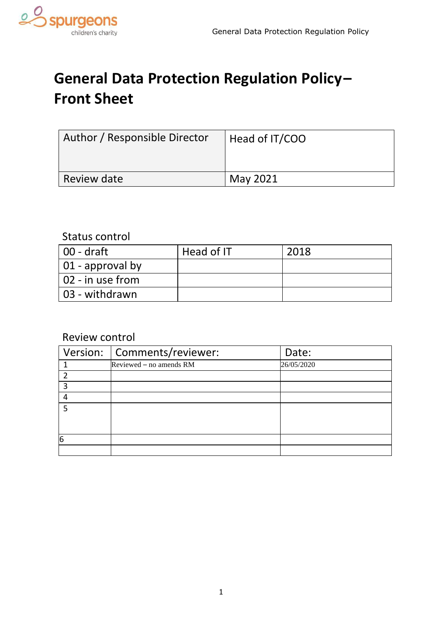

# **General Data Protection Regulation Policy– Front Sheet**

| Author / Responsible Director | Head of IT/COO  |
|-------------------------------|-----------------|
| <b>Review date</b>            | <b>May 2021</b> |

### Status control

| $100 - dr$ aft           | Head of IT | 2018 |
|--------------------------|------------|------|
| $\vert$ 01 - approval by |            |      |
| 02 - in use from         |            |      |
| 03 - withdrawn           |            |      |

## Review control

|   | Version:   Comments/reviewer: | Date:      |
|---|-------------------------------|------------|
|   | Reviewed - no amends RM       | 26/05/2020 |
|   |                               |            |
| ຊ |                               |            |
|   |                               |            |
| 5 |                               |            |
|   |                               |            |
|   |                               |            |
| 6 |                               |            |
|   |                               |            |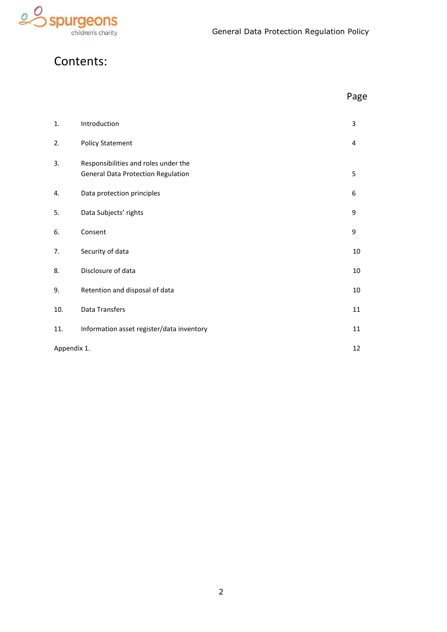

## Contents:

|             |                                                                                   | Page |
|-------------|-----------------------------------------------------------------------------------|------|
| 1.          | Introduction                                                                      | 3    |
| 2.          | <b>Policy Statement</b>                                                           | 4    |
| 3.          | Responsibilities and roles under the<br><b>General Data Protection Regulation</b> | 5    |
| 4.          | Data protection principles                                                        | 6    |
| 5.          | Data Subjects' rights                                                             | 9    |
| 6.          | Consent                                                                           | 9    |
| 7.          | Security of data                                                                  | 10   |
| 8.          | Disclosure of data                                                                | 10   |
| 9.          | Retention and disposal of data                                                    | 10   |
| 10.         | Data Transfers                                                                    | 11   |
| 11.         | Information asset register/data inventory                                         | 11   |
| Appendix 1. |                                                                                   | 12   |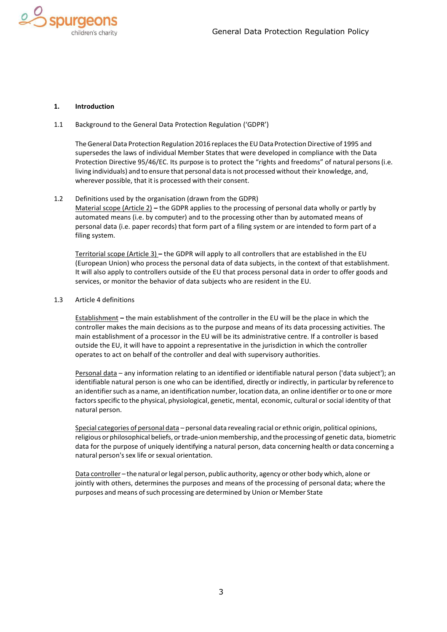

#### <span id="page-2-0"></span>**1. Introduction**

#### 1.1 Background to the General Data Protection Regulation ('GDPR')

The General Data Protection Regulation 2016 replaces the EU Data Protection Directive of 1995 and supersedes the laws of individual Member States that were developed in compliance with the Data Protection Directive 95/46/EC. Its purpose is to protect the "rights and freedoms" of natural persons(i.e. living individuals) and to ensure that personal data is not processed without their knowledge, and, wherever possible, that it is processed with their consent.

#### 1.2 Definitions used by the organisation (drawn from the GDPR)

Material scope (Article 2) **–** the GDPR applies to the processing of personal data wholly or partly by automated means (i.e. by computer) and to the processing other than by automated means of personal data (i.e. paper records) that form part of a filing system or are intended to form part of a filing system.

Territorial scope (Article 3) **–** the GDPR will apply to all controllers that are established in the EU (European Union) who process the personal data of data subjects, in the context of that establishment. It will also apply to controllers outside of the EU that process personal data in order to offer goods and services, or monitor the behavior of data subjects who are resident in the EU.

#### 1.3 Article 4 definitions

Establishment **–** the main establishment of the controller in the EU will be the place in which the controller makes the main decisions as to the purpose and means of its data processing activities. The main establishment of a processor in the EU will be its administrative centre. If a controller is based outside the EU, it will have to appoint a representative in the jurisdiction in which the controller operates to act on behalf of the controller and deal with supervisory authorities.

Personal data - any information relating to an identified or identifiable natural person ('data subject'); an identifiable natural person is one who can be identified, directly or indirectly, in particular by reference to an identifier such as a name, an identification number, location data, an online identifier or to one or more factorsspecific to the physical, physiological, genetic, mental, economic, cultural orsocial identity of that natural person.

Special categories of personal data – personal data revealing racial or ethnic origin, political opinions, religious or philosophical beliefs, ortrade-unionmembership, and the processing of genetic data, biometric data for the purpose of uniquely identifying a natural person, data concerning health or data concerning a natural person's sex life or sexual orientation.

Data controller – the natural or legal person, public authority, agency or other body which, alone or jointly with others, determines the purposes and means of the processing of personal data; where the purposes and means of such processing are determined by Union or Member State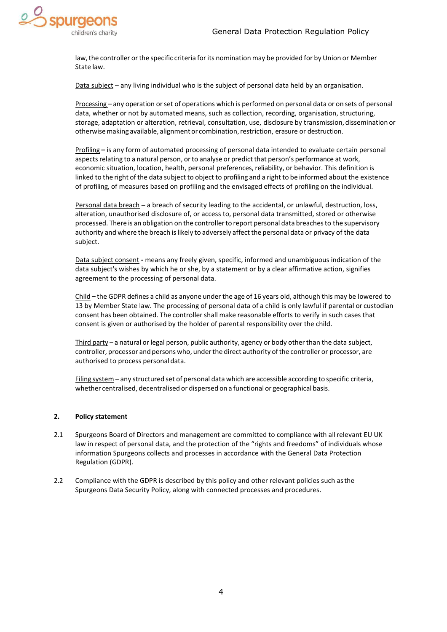

law,the controller orthe specific criteria forits nomination may be provided for by Union or Member State law.

Data subject – any living individual who is the subject of personal data held by an organisation.

Processing – any operation orset of operations which is performed on personal data or on sets of personal data, whether or not by automated means, such as collection, recording, organisation, structuring, storage, adaptation or alteration, retrieval, consultation, use, disclosure by transmission, dissemination or otherwise making available, alignment or combination, restriction, erasure or destruction.

Profiling **–** is any form of automated processing of personal data intended to evaluate certain personal aspects relating to a natural person, or to analyse or predict that person's performance at work, economic situation, location, health, personal preferences, reliability, or behavior. This definition is linked to the right of the data subject to object to profiling and a right to be informed about the existence of profiling, of measures based on profiling and the envisaged effects of profiling on the individual.

Personal data breach **–** a breach of security leading to the accidental, or unlawful, destruction, loss, alteration, unauthorised disclosure of, or access to, personal data transmitted, stored or otherwise processed. There is an obligation on the controllerto report personal data breachesto the supervisory authority and where the breach islikely to adversely affect the personal data or privacy of the data subject.

Data subject consent **-** means any freely given, specific, informed and unambiguous indication of the data subject's wishes by which he or she, by a statement or by a clear affirmative action, signifies agreement to the processing of personal data.

Child **–** the GDPR defines a child as anyone under the age of 16 years old, although this may be lowered to 13 by Member State law. The processing of personal data of a child is only lawful if parental or custodian consent has been obtained. The controller shall make reasonable efforts to verify in such cases that consent is given or authorised by the holder of parental responsibility over the child.

Third party – a natural or legal person, public authority, agency or body other than the data subject, controller, processor and persons who, under the direct authority of the controller or processor, are authorised to process personaldata.

Filing system – any structured set of personal data which are accessible according to specific criteria, whether centralised, decentralised or dispersed on a functional or geographical basis.

#### <span id="page-3-0"></span>**2. Policy statement**

- 2.1 Spurgeons Board of Directors and management are committed to compliance with allrelevant EU UK law in respect of personal data, and the protection of the "rights and freedoms" of individuals whose information Spurgeons collects and processes in accordance with the General Data Protection Regulation (GDPR).
- 2.2 Compliance with the GDPR is described by this policy and other relevant policies such asthe Spurgeons Data Security Policy, along with connected processes and procedures.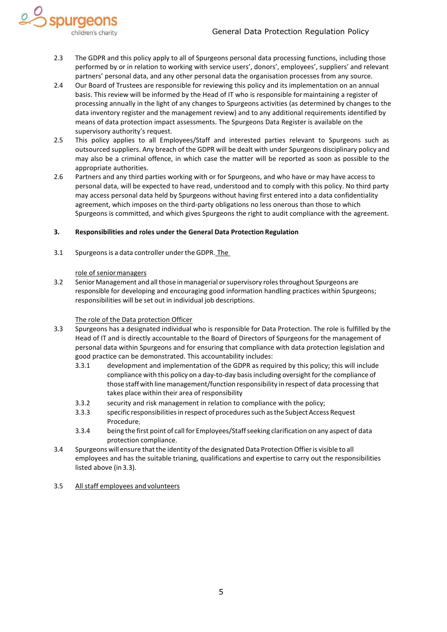- e<sub>S</sub> spurged children's charity
	- 2.3 The GDPR and this policy apply to all of Spurgeons personal data processing functions, including those performed by or in relation to working with service users', donors', employees', suppliers' and relevant partners' personal data, and any other personal data the organisation processes from any source.
	- 2.4 Our Board of Trustees are responsible for reviewing this policy and its implementation on an annual basis. This review will be informed by the Head of IT who is responsible formaintaining a register of processing annually in the light of any changes to Spurgeons activities (as determined by changes to the data inventory register and the management review) and to any additional requirements identified by means of data protection impact assessments. The Spurgeons Data Register is available on the supervisory authority's request.
	- 2.5 This policy applies to all Employees/Staff and interested parties relevant to Spurgeons such as outsourced suppliers. Any breach of the GDPR will be dealt with under Spurgeons disciplinary policy and may also be a criminal offence, in which case the matter will be reported as soon as possible to the appropriate authorities.
	- 2.6 Partners and any third parties working with or for Spurgeons, and who have or may have access to personal data, will be expected to have read, understood and to comply with this policy. No third party may access personal data held by Spurgeons without having first entered into a data confidentiality agreement, which imposes on the third-party obligations no less onerous than those to which Spurgeons is committed, and which gives Spurgeons the right to audit compliance with the agreement.

#### **3. Responsibilities and roles under the General Data Protection Regulation**

3.1 Spurgeonsis a data controller underthe GDPR. The

#### role of seniormanagers

3.2 Senior Management and all those in managerial orsupervisory rolesthroughout Spurgeons are responsible for developing and encouraging good information handling practices within Spurgeons; responsibilities will be set out in individual job descriptions.

#### The role of the Data protection Officer

- 3.3 Spurgeons has a designated individual who is responsible for Data Protection. The role is fulfilled by the Head of IT and is directly accountable to the Board of Directors of Spurgeons for the management of personal data within Spurgeons and for ensuring that compliance with data protection legislation and good practice can be demonstrated. This accountability includes:
	- 3.3.1 development and implementation of the GDPR as required by this policy; this will include compliance with this policy on a day-to-day basis including oversight for the compliance of those staff with line management/function responsibility in respect of data processing that takes place within their area of responsibility
	- 3.3.2 security and risk management in relation to compliance with the policy;
	- 3.3.3 specific responsibilitiesin respect ofproceduressuch asthe Subject Access Request Procedure;
	- 3.3.4 being the first point of call for Employees/Staffseeking clarification on any aspect of data protection compliance.
- 3.4 Spurgeons will ensure that the identity of the designated Data Protection Offier is visible to all employees and has the suitable trianing, qualifications and expertise to carry out the responsibilities listed above (in 3.3).
- 3.5 All staff employees and volunteers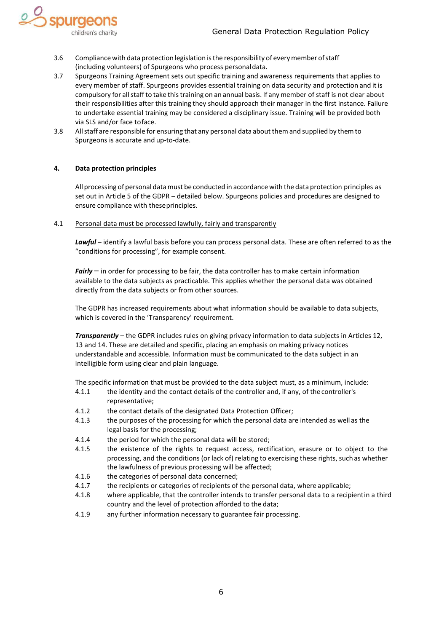

- 3.6 Compliance with data protection legislation isthe responsibility of everymember ofstaff (including volunteers) of Spurgeons who process personaldata.
- 3.7 Spurgeons Training Agreement sets out specific training and awareness requirements that applies to every member of staff. Spurgeons provides essential training on data security and protection and it is compulsory for all staff to take this training on an annual basis. If any member of staff is not clear about their responsibilities after this training they should approach their manager in the first instance. Failure to undertake essential training may be considered a disciplinary issue. Training will be provided both via SLS and/or face toface.
- 3.8 Allstaff are responsible for ensuring that any personal data about them and supplied by themto Spurgeons is accurate and up-to-date.

#### <span id="page-5-0"></span>**4. Data protection principles**

All processing of personal data must be conducted in accordance with the data protection principles as set out in Article 5 of the GDPR – detailed below. Spurgeons policies and procedures are designed to ensure compliance with theseprinciples.

#### 4.1 Personal data must be processed lawfully, fairly and transparently

Lawful – identify a lawful basis before you can process personal data. These are often referred to as the "conditions for processing", for example consent.

**Fairly** – in order for processing to be fair, the data controller has to make certain information available to the data subjects as practicable. This applies whether the personal data was obtained directly from the data subjects or from other sources.

The GDPR has increased requirements about what information should be available to data subjects, which is covered in the 'Transparency' requirement.

*Transparently* – the GDPR includes rules on giving privacy information to data subjects in Articles 12, 13 and 14. These are detailed and specific, placing an emphasis on making privacy notices understandable and accessible. Information must be communicated to the data subject in an intelligible form using clear and plain language.

The specific information that must be provided to the data subject must, as a minimum, include:

- 4.1.1 the identity and the contact details of the controller and, if any, of thecontroller's representative;
- 4.1.2 the contact details of the designated Data Protection Officer;
- 4.1.3 the purposes of the processing for which the personal data are intended as well as the legal basis for the processing;
- 4.1.4 the period for which the personal data will be stored;
- 4.1.5 the existence of the rights to request access, rectification, erasure or to object to the processing, and the conditions (or lack of) relating to exercising these rights, such as whether the lawfulness of previous processing will be affected;
- 4.1.6 the categories of personal data concerned;
- 4.1.7 the recipients or categories of recipients of the personal data, where applicable;
- 4.1.8 where applicable, that the controller intends to transfer personal data to a recipientin a third country and the level of protection afforded to the data;
- 4.1.9 any further information necessary to guarantee fair processing.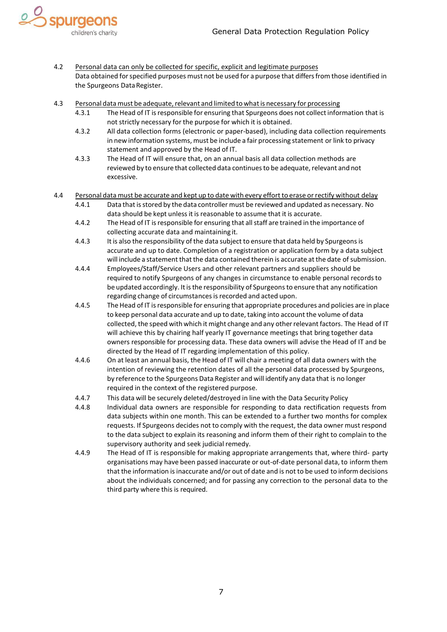

- 4.2 Personal data can only be collected for specific, explicit and legitimate purposes Data obtained forspecified purposes must not be used for a purpose that differsfrom those identified in the Spurgeons Data Register.
- 4.3 Personal data must be adequate, relevant and limited to what is necessary for processing
	- 4.3.1 TheHead of IT isresponsible for ensuring that Spurgeons does not collect information that is not strictly necessary for the purpose for which it is obtained.
	- 4.3.2 All data collection forms (electronic or paper-based), including data collection requirements in new information systems, must be include a fair processing statement or link to privacy statement and approved by the Head of IT.
	- 4.3.3 The Head of IT will ensure that, on an annual basis all data collection methods are reviewed by to ensure that collected data continuesto be adequate, relevant and not excessive.
- 4.4 Personal data must be accurate and kept up to date with every effort to erase orrectify without delay 4.4.1 Data that isstored by the data controller must be reviewed and updated as necessary. No
	- data should be kept unless it is reasonable to assume that it is accurate.
	- 4.4.2 The Head of IT is responsible for ensuring that all staff are trained in the importance of collecting accurate data and maintaining it.
	- 4.4.3 It is also the responsibility ofthe data subject to ensure that data held by Spurgeonsis accurate and up to date. Completion of a registration or application form by a data subject will include a statement that the data contained therein is accurate at the date of submission.
	- 4.4.4 Employees/Staff/Service Users and other relevant partners and suppliers should be required to notify Spurgeons of any changes in circumstance to enable personal recordsto be updated accordingly. It is the responsibility of Spurgeons to ensure that any notification regarding change of circumstances is recorded and acted upon.
	- 4.4.5 TheHead of IT isresponsible for ensuring that appropriate procedures and policies are in place to keep personal data accurate and up to date, taking into account the volume of data collected, the speed with which it might change and any otherrelevantfactors. The Head of IT will achieve this by chairing half yearly IT governance meetings that bring together data owners responsible for processing data. These data owners will advise the Head of IT and be directed by the Head of IT regarding implementation of this policy.
	- 4.4.6 On at least an annual basis, the Head of IT will chair a meeting of all data owners with the intention of reviewing the retention dates of all the personal data processed by Spurgeons, by reference to the Spurgeons Data Register and will identify any data that is no longer required in the context of the registered purpose.
	- 4.4.7 This data will be securely deleted/destroyed in line with the Data Security Policy
	- 4.4.8 Individual data owners are responsible for responding to data rectification requests from data subjects within one month. This can be extended to a further two months for complex requests. If Spurgeons decides not to comply with the request, the data owner must respond to the data subject to explain its reasoning and inform them of their right to complain to the supervisory authority and seek judicial remedy.
	- 4.4.9 The Head of IT is responsible for making appropriate arrangements that, where third- party organisations may have been passed inaccurate or out-of-date personal data, to inform them that the information is inaccurate and/or out of date and is not to be used to inform decisions about the individuals concerned; and for passing any correction to the personal data to the third party where this is required.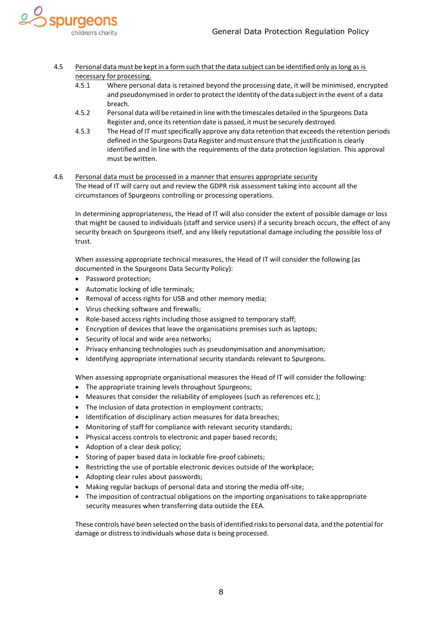

- 4.5 Personal data must be kept in a form such that the data subject can be identified only aslong as is necessary for processing.
	- 4.5.1 Where personal data is retained beyond the processing date, it will be minimised, encrypted and pseudonymised in order to protect the identity of the data subject in the event of a data breach.
	- 4.5.2 Personal data will be retained in line with the timescales detailed in the Spurgeons Data Register and, once its retention date is passed, it must be securely destroyed.
	- 4.5.3 The Head of IT must specifically approve any data retention that exceeds the retention periods defined in the Spurgeons Data Register and must ensure that the justification is clearly identified and in line with the requirements of the data protection legislation. This approval must bewritten.
- 4.6 Personal data must be processed in a manner that ensures appropriate security The Head of IT will carry out and review the GDPR risk assessment taking into account all the circumstances of Spurgeons controlling or processing operations.

In determining appropriateness, the Head of IT will also consider the extent of possible damage or loss that might be caused to individuals (staff and service users) if a security breach occurs, the effect of any security breach on Spurgeons itself, and any likely reputational damage including the possible loss of trust.

When assessing appropriate technical measures, the Head of IT will consider the following (as documented in the Spurgeons Data Security Policy):

- Password protection;
- Automatic locking of idle terminals;
- Removal of access rights for USB and other memory media;
- Virus checking software and firewalls;
- Role-based access rights including those assigned to temporary staff;
- Encryption of devices that leave the organisations premises such as laptops;
- Security of local and wide area networks;
- Privacy enhancing technologies such as pseudonymisation and anonymisation;
- Identifying appropriate international security standards relevant to Spurgeons.

When assessing appropriate organisational measures the Head of IT will consider the following:

- The appropriate training levels throughout Spurgeons;
- Measures that consider the reliability of employees (such as references etc.);
- The inclusion of data protection in employment contracts;
- Identification of disciplinary action measures for data breaches;
- Monitoring of staff for compliance with relevant security standards;
- Physical access controls to electronic and paper based records;
- Adoption of a clear desk policy;
- Storing of paper based data in lockable fire-proof cabinets;
- Restricting the use of portable electronic devices outside of the workplace;
- Adopting clear rules about passwords;
- Making regular backups of personal data and storing the media off-site;
- The imposition of contractual obligations on the importing organisations to take appropriate security measures when transferring data outside the EEA.

These controls have been selected on the basis of identified risksto personal data, and the potential for damage or distress to individuals whose data is being processed.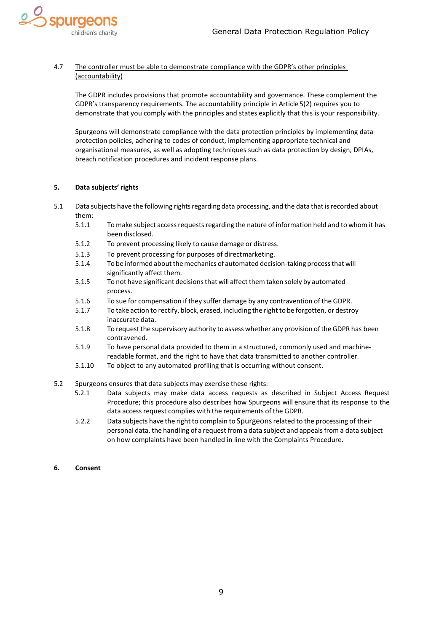

#### 4.7 The controller must be able to demonstrate compliance with the GDPR's other principles (accountability)

The GDPR includes provisions that promote accountability and governance. These complement the GDPR's transparency requirements. The accountability principle in Article 5(2) requires you to demonstrate that you comply with the principles and states explicitly that this is your responsibility.

Spurgeons will demonstrate compliance with the data protection principles by implementing data protection policies, adhering to codes of conduct, implementing appropriate technical and organisational measures, as well as adopting techniques such as data protection by design, DPIAs, breach notification procedures and incident response plans.

#### <span id="page-8-0"></span>**5. Data subjects' rights**

- 5.1 Data subjects have the following rights regarding data processing, and the data that is recorded about them:
	- 5.1.1 Tomake subject accessrequestsregarding the nature of information held and to whom it has been disclosed.
	- 5.1.2 To prevent processing likely to cause damage or distress.
	- 5.1.3 To prevent processing for purposes of directmarketing.
	- 5.1.4 To be informed aboutthemechanics of automated decision-taking processthat will significantly affect them.
	- 5.1.5 To not have significant decisionsthat will affect them taken solely by automated process.
	- 5.1.6 To sue for compensation if they suffer damage by any contravention of the GDPR.
	- 5.1.7 To take action to rectify, block, erased, including the right to be forgotten, or destroy inaccurate data.
	- 5.1.8 To request the supervisory authority to assess whether any provision of the GDPR has been contravened.
	- 5.1.9 To have personal data provided to them in a structured, commonly used and machinereadable format, and the right to have that data transmitted to another controller.
	- 5.1.10 To object to any automated profiling that is occurring without consent.
- 5.2 Spurgeons ensures that data subjects may exercise these rights:
	- 5.2.1 Data subjects may make data access requests as described in Subject Access Request Procedure; this procedure also describes how Spurgeons will ensure that its response to the data access request complies with the requirements of the GDPR.
	- 5.2.2 Data subjects have the right to complain to Spurgeonsrelated to the processing of their personal data, the handling of a request from a data subject and appeals from a data subject on how complaints have been handled in line with the Complaints Procedure.
- <span id="page-8-1"></span>**6. Consent**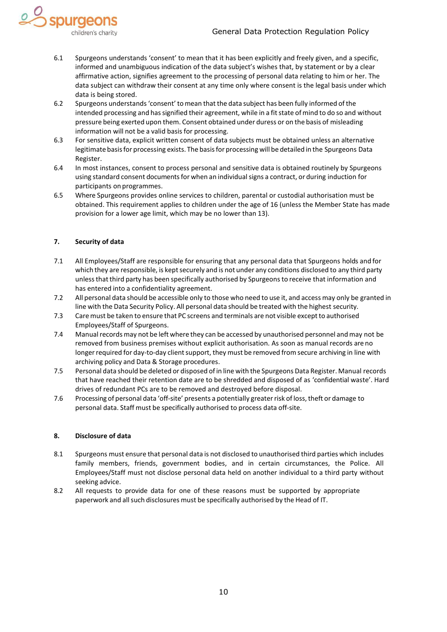

- 6.1 Spurgeons understands 'consent' to mean that it has been explicitly and freely given, and a specific, informed and unambiguous indication of the data subject's wishes that, by statement or by a clear affirmative action, signifies agreement to the processing of personal data relating to him or her. The data subject can withdraw their consent at any time only where consent is the legal basis under which data is being stored.
- 6.2 Spurgeons understands'consent' tomean thatthe data subject has been fully informed ofthe intended processing and has signified their agreement, while in a fit state of mind to do so and without pressure being exerted upon them. Consent obtained under duress or on the basis of misleading information will not be a valid basis for processing.
- 6.3 For sensitive data, explicit written consent of data subjects must be obtained unless an alternative legitimate basis for processing exists. The basis for processing will be detailed in the Spurgeons Data Register.
- 6.4 In most instances, consent to process personal and sensitive data is obtained routinely by Spurgeons using standard consent documentsfor when an individualsigns a contract, or during induction for participants on programmes.
- 6.5 Where Spurgeons provides online services to children, parental or custodial authorisation must be obtained. This requirement applies to children under the age of 16 (unless the Member State has made provision for a lower age limit, which may be no lower than 13).

#### <span id="page-9-0"></span>**7. Security of data**

- 7.1 All Employees/Staff are responsible for ensuring that any personal data that Spurgeons holds and for which they are responsible, is kept securely and is not under any conditions disclosed to any third party unless that third party has been specifically authorised by Spurgeons to receive that information and has entered into a confidentiality agreement.
- 7.2 All personal data should be accessible only to those who need to use it, and access may only be granted in line with the Data Security Policy. All personal data should be treated with the highest security.
- 7.3 Caremust be taken to ensure that PC screens and terminals are not visible exceptto authorised Employees/Staff of Spurgeons.
- 7.4 Manual records may not be left where they can be accessed by unauthorised personnel and may not be removed from business premises without explicit authorisation. As soon as manual records are no longer required for day-to-day client support, they must be removed from secure archiving in line with archiving policy and Data & Storage procedures.
- 7.5 Personal data should be deleted or disposed of in line with the Spurgeons Data Register. Manual records that have reached their retention date are to be shredded and disposed of as 'confidential waste'. Hard drives of redundant PCs are to be removed and destroyed before disposal.
- 7.6 Processing of personal data 'off-site' presents a potentially greater risk of loss, theft or damage to personal data. Staff must be specifically authorised to process data off-site.

#### <span id="page-9-1"></span>**8. Disclosure of data**

- 8.1 Spurgeons must ensure that personal data is not disclosed to unauthorised third parties which includes family members, friends, government bodies, and in certain circumstances, the Police. All Employees/Staff must not disclose personal data held on another individual to a third party without seeking advice.
- 8.2 All requests to provide data for one of these reasons must be supported by appropriate paperwork and allsuch disclosures must be specifically authorised by the Head of IT.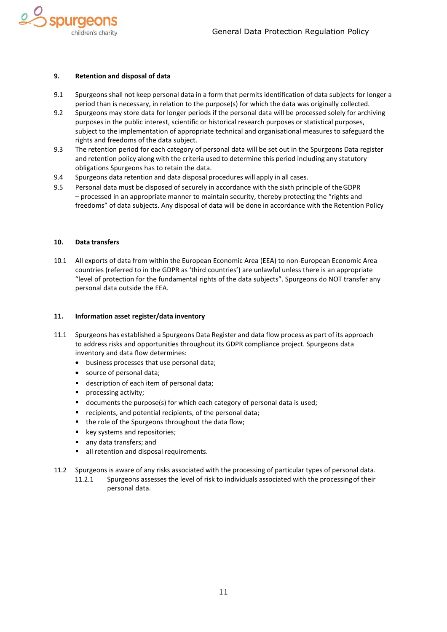

#### <span id="page-10-0"></span>**9. Retention and disposal of data**

- 9.1 Spurgeons shall not keep personal data in a form that permits identification of data subjects for longer a period than is necessary, in relation to the purpose(s) for which the data was originally collected.
- 9.2 Spurgeons may store data for longer periods if the personal data will be processed solely for archiving purposes in the public interest, scientific or historical research purposes or statistical purposes, subject to the implementation of appropriate technical and organisational measures to safeguard the rights and freedoms of the data subject.
- 9.3 The retention period for each category of personal data will be set out in the Spurgeons Data register and retention policy along with the criteria used to determine this period including any statutory obligations Spurgeons has to retain the data.
- 9.4 Spurgeons data retention and data disposal procedures will apply in all cases.
- 9.5 Personal data must be disposed of securely in accordance with the sixth principle of theGDPR – processed in an appropriate manner to maintain security, thereby protecting the "rights and freedoms" of data subjects. Any disposal of data will be done in accordance with the Retention Policy

#### <span id="page-10-1"></span>**10. Data transfers**

10.1 All exports of data from within the European Economic Area (EEA) to non-European Economic Area countries (referred to in the GDPR as 'third countries') are unlawful unless there is an appropriate "level of protection for the fundamental rights of the data subjects". Spurgeons do NOT transfer any personal data outside the EEA.

#### <span id="page-10-2"></span>**11. Information asset register/data inventory**

- 11.1 Spurgeons has established a Spurgeons Data Register and data flow process as part of its approach to address risks and opportunities throughout its GDPR compliance project. Spurgeons data inventory and data flow determines:
	- business processes that use personal data;
	- source of personal data;
	- description of each item of personal data;
	- processing activity;
	- documents the purpose(s) for which each category of personal data is used;
	- recipients, and potential recipients, of the personal data;
	- the role of the Spurgeons throughout the data flow;
	- key systems and repositories;
	- any data transfers; and
	- all retention and disposal requirements.
- 11.2 Spurgeons is aware of any risks associated with the processing of particular types of personal data.
	- 11.2.1 Spurgeons assesses the level of risk to individuals associated with the processingof their personal data.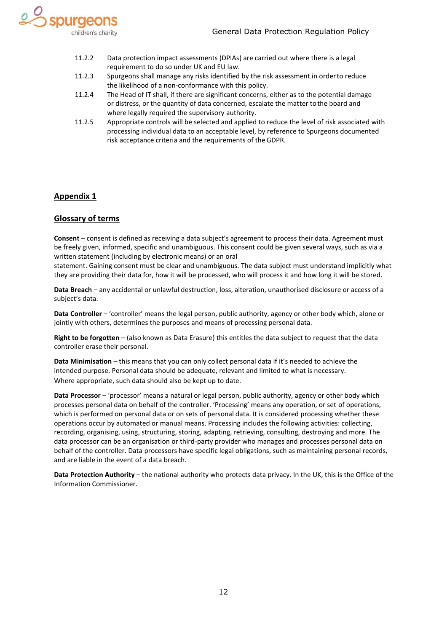

- 11.2.2 Data protection impact assessments (DPIAs) are carried out where there is a legal requirement to do so under UK and EU law.
- 11.2.3 Spurgeons shall manage any risks identified by the risk assessment in orderto reduce the likelihood of a non-conformance with this policy.
- 11.2.4 The Head of IT shall, if there are significant concerns, either as to the potential damage or distress, or the quantity of data concerned, escalate the matter tothe board and where legally required the supervisory authority.
- 11.2.5 Appropriate controls will be selected and applied to reduce the level of risk associated with processing individual data to an acceptable level, by reference to Spurgeons documented risk acceptance criteria and the requirements of the GDPR.

#### <span id="page-11-0"></span>**Appendix 1**

#### **Glossary of terms**

**Consent** – consent is defined as receiving a data subject's agreement to process their data. Agreement must be freely given, informed, specific and unambiguous. This consent could be given several ways, such as via a written statement (including by electronic means) or an oral

statement. Gaining consent must be clear and unambiguous. The data subject must understand implicitly what they are providing their data for, how it will be processed, who will process it and how long it will be stored.

**Data Breach** – any accidental or unlawful destruction, loss, alteration, unauthorised disclosure or access of a subject's data.

**Data Controller** – 'controller' means the legal person, public authority, agency or other body which, alone or jointly with others, determines the purposes and means of processing personal data.

**Right to be forgotten** – (also known as Data Erasure) this entitles the data subject to request that the data controller erase their personal.

**Data Minimisation** – this means that you can only collect personal data if it's needed to achieve the intended purpose. Personal data should be adequate, relevant and limited to what is necessary. Where appropriate, such data should also be kept up to date.

**Data Processor** – 'processor' means a natural or legal person, public authority, agency or other body which processes personal data on behalf of the controller. 'Processing' means any operation, or set of operations, which is performed on personal data or on sets of personal data. It is considered processing whether these operations occur by automated or manual means. Processing includes the following activities: collecting, recording, organising, using, structuring, storing, adapting, retrieving, consulting, destroying and more. The data processor can be an organisation or third-party provider who manages and processes personal data on behalf of the controller. Data processors have specific legal obligations, such as maintaining personal records, and are liable in the event of a data breach.

**Data Protection Authority** – the national authority who protects data privacy. In the UK, this is the Office of the Information Commissioner.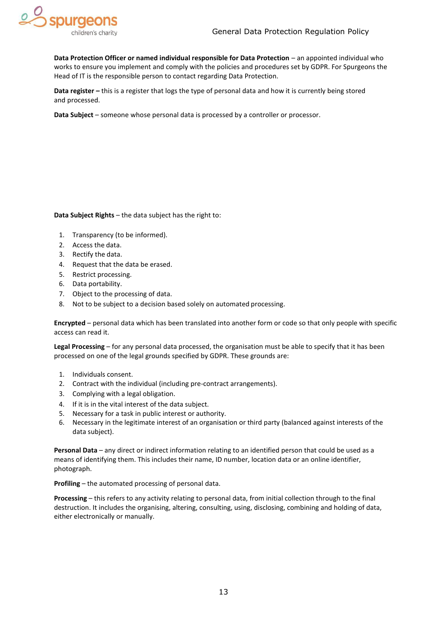

**Data Protection Officer or named individual responsible for Data Protection – an appointed individual who** works to ensure you implement and comply with the policies and procedures set by GDPR. For Spurgeons the Head of IT is the responsible person to contact regarding Data Protection.

**Data register –** this is a register that logs the type of personal data and how it is currently being stored and processed.

**Data Subject** – someone whose personal data is processed by a controller or processor.

**Data Subject Rights** – the data subject has the right to:

- 1. Transparency (to be informed).
- 2. Access the data.
- 3. Rectify the data.
- 4. Request that the data be erased.
- 5. Restrict processing.
- 6. Data portability.
- 7. Object to the processing of data.
- 8. Not to be subject to a decision based solely on automated processing.

**Encrypted** – personal data which has been translated into another form or code so that only people with specific access can read it.

**Legal Processing** – for any personal data processed, the organisation must be able to specify that it has been processed on one of the legal grounds specified by GDPR. These grounds are:

- 1. Individuals consent.
- 2. Contract with the individual (including pre-contract arrangements).
- 3. Complying with a legal obligation.
- 4. If it is in the vital interest of the data subject.
- 5. Necessary for a task in public interest or authority.
- 6. Necessary in the legitimate interest of an organisation or third party (balanced against interests of the data subject).

**Personal Data** – any direct or indirect information relating to an identified person that could be used as a means of identifying them. This includes their name, ID number, location data or an online identifier, photograph.

**Profiling** – the automated processing of personal data.

**Processing** – this refers to any activity relating to personal data, from initial collection through to the final destruction. It includes the organising, altering, consulting, using, disclosing, combining and holding of data, either electronically or manually.